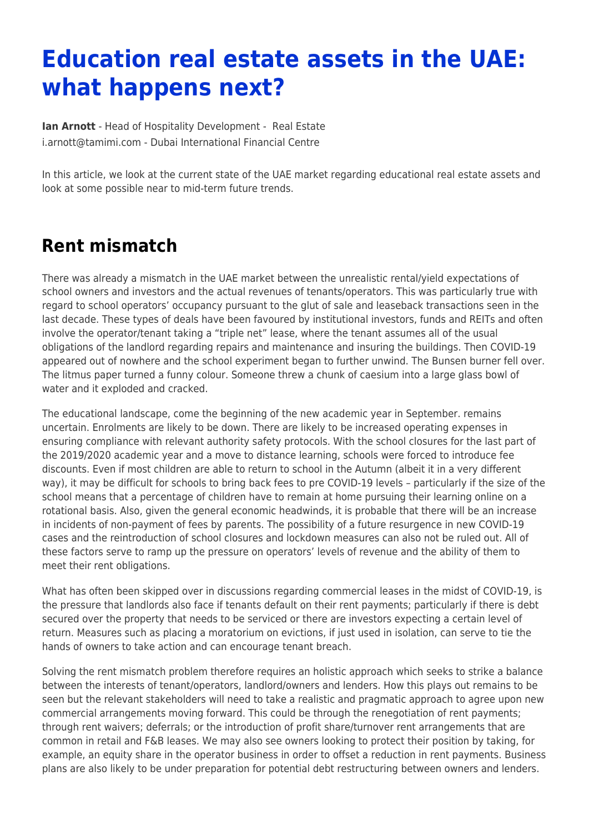# **Education real estate assets in the UAE: what happens next?**

**[Ian Arnott](https://www.tamimi.com/find-a-lawyer/ian-arnott/)** - Head of Hospitality Development - [Real Estate](https://www.tamimi.com/client-services/practices/real-estate/) [i.arnott@tamimi.com](mailto:i.arnott@tamimi.com) - [Dubai International Financial Centre](https://www.tamimi.com/locations/uae/)

In this article, we look at the current state of the UAE market regarding educational real estate assets and look at some possible near to mid-term future trends.

#### **Rent mismatch**

There was already a mismatch in the UAE market between the unrealistic rental/yield expectations of school owners and investors and the actual revenues of tenants/operators. This was particularly true with regard to school operators' occupancy pursuant to the glut of sale and leaseback transactions seen in the last decade. These types of deals have been favoured by institutional investors, funds and REITs and often involve the operator/tenant taking a "triple net" lease, where the tenant assumes all of the usual obligations of the landlord regarding repairs and maintenance and insuring the buildings. Then COVID-19 appeared out of nowhere and the school experiment began to further unwind. The Bunsen burner fell over. The litmus paper turned a funny colour. Someone threw a chunk of caesium into a large glass bowl of water and it exploded and cracked.

The educational landscape, come the beginning of the new academic year in September. remains uncertain. Enrolments are likely to be down. There are likely to be increased operating expenses in ensuring compliance with relevant authority safety protocols. With the school closures for the last part of the 2019/2020 academic year and a move to distance learning, schools were forced to introduce fee discounts. Even if most children are able to return to school in the Autumn (albeit it in a very different way), it may be difficult for schools to bring back fees to pre COVID-19 levels – particularly if the size of the school means that a percentage of children have to remain at home pursuing their learning online on a rotational basis. Also, given the general economic headwinds, it is probable that there will be an increase in incidents of non-payment of fees by parents. The possibility of a future resurgence in new COVID-19 cases and the reintroduction of school closures and lockdown measures can also not be ruled out. All of these factors serve to ramp up the pressure on operators' levels of revenue and the ability of them to meet their rent obligations.

What has often been skipped over in discussions regarding commercial leases in the midst of COVID-19, is the pressure that landlords also face if tenants default on their rent payments; particularly if there is debt secured over the property that needs to be serviced or there are investors expecting a certain level of return. Measures such as placing a moratorium on evictions, if just used in isolation, can serve to tie the hands of owners to take action and can encourage tenant breach.

Solving the rent mismatch problem therefore requires an holistic approach which seeks to strike a balance between the interests of tenant/operators, landlord/owners and lenders. How this plays out remains to be seen but the relevant stakeholders will need to take a realistic and pragmatic approach to agree upon new commercial arrangements moving forward. This could be through the renegotiation of rent payments; through rent waivers; deferrals; or the introduction of profit share/turnover rent arrangements that are common in retail and F&B leases. We may also see owners looking to protect their position by taking, for example, an equity share in the operator business in order to offset a reduction in rent payments. Business plans are also likely to be under preparation for potential debt restructuring between owners and lenders.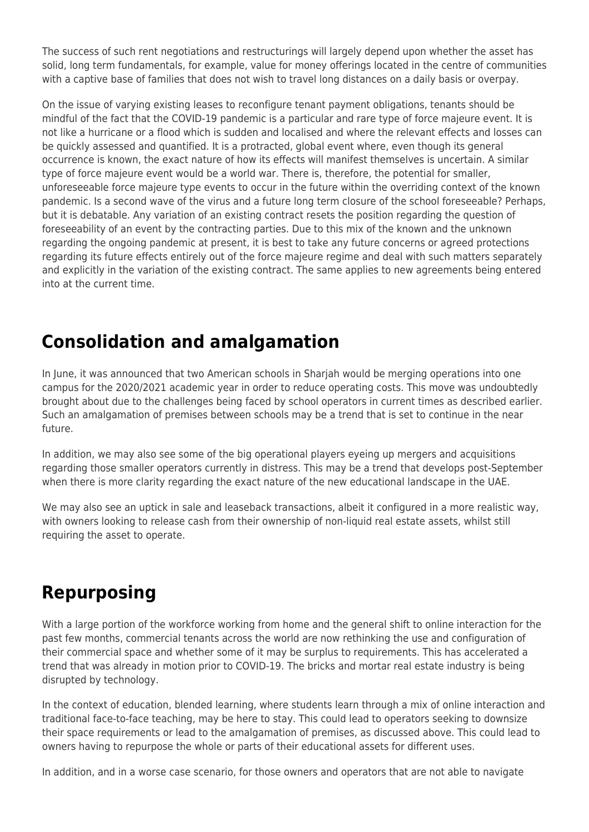The success of such rent negotiations and restructurings will largely depend upon whether the asset has solid, long term fundamentals, for example, value for money offerings located in the centre of communities with a captive base of families that does not wish to travel long distances on a daily basis or overpay.

On the issue of varying existing leases to reconfigure tenant payment obligations, tenants should be mindful of the fact that the COVID-19 pandemic is a particular and rare type of force majeure event. It is not like a hurricane or a flood which is sudden and localised and where the relevant effects and losses can be quickly assessed and quantified. It is a protracted, global event where, even though its general occurrence is known, the exact nature of how its effects will manifest themselves is uncertain. A similar type of force majeure event would be a world war. There is, therefore, the potential for smaller, unforeseeable force majeure type events to occur in the future within the overriding context of the known pandemic. Is a second wave of the virus and a future long term closure of the school foreseeable? Perhaps, but it is debatable. Any variation of an existing contract resets the position regarding the question of foreseeability of an event by the contracting parties. Due to this mix of the known and the unknown regarding the ongoing pandemic at present, it is best to take any future concerns or agreed protections regarding its future effects entirely out of the force majeure regime and deal with such matters separately and explicitly in the variation of the existing contract. The same applies to new agreements being entered into at the current time.

## **Consolidation and amalgamation**

In June, it was announced that two American schools in Sharjah would be merging operations into one campus for the 2020/2021 academic year in order to reduce operating costs. This move was undoubtedly brought about due to the challenges being faced by school operators in current times as described earlier. Such an amalgamation of premises between schools may be a trend that is set to continue in the near future.

In addition, we may also see some of the big operational players eyeing up mergers and acquisitions regarding those smaller operators currently in distress. This may be a trend that develops post-September when there is more clarity regarding the exact nature of the new educational landscape in the UAE.

We may also see an uptick in sale and leaseback transactions, albeit it configured in a more realistic way, with owners looking to release cash from their ownership of non-liquid real estate assets, whilst still requiring the asset to operate.

### **Repurposing**

With a large portion of the workforce working from home and the general shift to online interaction for the past few months, commercial tenants across the world are now rethinking the use and configuration of their commercial space and whether some of it may be surplus to requirements. This has accelerated a trend that was already in motion prior to COVID-19. The bricks and mortar real estate industry is being disrupted by technology.

In the context of education, blended learning, where students learn through a mix of online interaction and traditional face-to-face teaching, may be here to stay. This could lead to operators seeking to downsize their space requirements or lead to the amalgamation of premises, as discussed above. This could lead to owners having to repurpose the whole or parts of their educational assets for different uses.

In addition, and in a worse case scenario, for those owners and operators that are not able to navigate